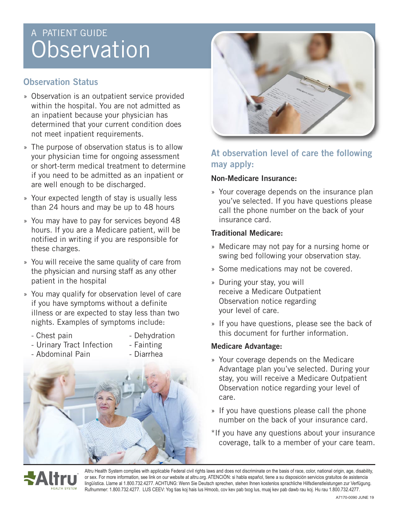# A PATIENT GUIDE **Observation**

## **Observation Status**

- » Observation is an outpatient service provided within the hospital. You are not admitted as an inpatient because your physician has determined that your current condition does not meet inpatient requirements.
- » The purpose of observation status is to allow your physician time for ongoing assessment or short-term medical treatment to determine if you need to be admitted as an inpatient or are well enough to be discharged.
- » Your expected length of stay is usually less than 24 hours and may be up to 48 hours
- » You may have to pay for services beyond 48 hours. If you are a Medicare patient, will be notified in writing if you are responsible for these charges.
- » You will receive the same quality of care from the physician and nursing staff as any other patient in the hospital
- » You may qualify for observation level of care if you have symptoms without a definite illness or are expected to stay less than two nights. Examples of symptoms include:
	-
	- Chest pain The Dehydration
	- Urinary Tract Infection Fainting
		-





# **At observation level of care the following may apply:**

## **Non-Medicare Insurance:**

» Your coverage depends on the insurance plan you've selected. If you have questions please call the phone number on the back of your insurance card.

## **Traditional Medicare:**

- » Medicare may not pay for a nursing home or swing bed following your observation stay.
- » Some medications may not be covered.
- » During your stay, you will receive a Medicare Outpatient Observation notice regarding your level of care.
- » If you have questions, please see the back of this document for further information.

## **Medicare Advantage:**

- » Your coverage depends on the Medicare Advantage plan you've selected. During your stay, you will receive a Medicare Outpatient Observation notice regarding your level of care.
- » If you have questions please call the phone number on the back of your insurance card.
- \*If you have any questions about your insurance coverage, talk to a member of your care team.



Altru Health System complies with applicable Federal civil rights laws and does not discriminate on the basis of race, color, national origin, age, disability, or sex. For more information, see link on our website at altru.org. ATENCIÓN: si habla español, tiene a su disposición servicios gratuitos de asistencia lingüística. Llame al 1.800.732.4277. ACHTUNG: Wenn Sie Deutsch sprechen, stehen Ihnen kostenlos sprachliche Hilfsdienstleistungen zur Verfügung. Rufnummer: 1.800.732.4277. LUS CEEV: Yog tias koj hais lus Hmoob, cov kev pab txog lus, muaj kev pab dawb rau koj. Hu rau 1.800.732.4277.